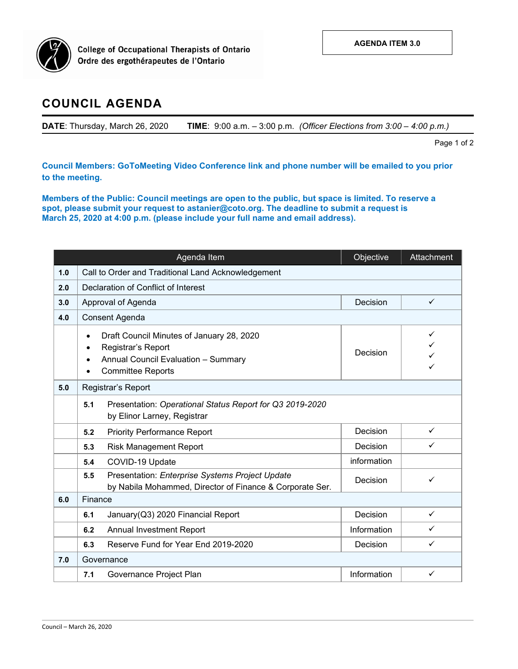

**College of Occupational Therapists of Ontario** Ordre des ergothérapeutes de l'Ontario

## **COUNCIL AGENDA**

**DATE**: Thursday, March 26, 2020 **TIME**: 9:00 a.m. – 3:00 p.m. *(Officer Elections from 3:00 – 4:00 p.m.)*

Page 1 of 2

**Council Members: GoToMeeting Video Conference link and phone number will be emailed to you prior to the meeting.**

**Members of the Public: Council meetings are open to the public, but space is limited. To reserve a spot, please submit your request to astanier@coto.org. The deadline to submit a request is March 25, 2020 at 4:00 p.m. (please include your full name and email address).**

|     | Agenda Item                                                                                                                                     | Objective   | Attachment   |  |  |  |  |
|-----|-------------------------------------------------------------------------------------------------------------------------------------------------|-------------|--------------|--|--|--|--|
| 1.0 | Call to Order and Traditional Land Acknowledgement                                                                                              |             |              |  |  |  |  |
| 2.0 | Declaration of Conflict of Interest                                                                                                             |             |              |  |  |  |  |
| 3.0 | Approval of Agenda                                                                                                                              | Decision    | $\checkmark$ |  |  |  |  |
| 4.0 | Consent Agenda                                                                                                                                  |             |              |  |  |  |  |
|     | Draft Council Minutes of January 28, 2020<br>$\bullet$<br>Registrar's Report<br>Annual Council Evaluation - Summary<br><b>Committee Reports</b> | Decision    | ✓            |  |  |  |  |
| 5.0 | Registrar's Report                                                                                                                              |             |              |  |  |  |  |
|     | 5.1<br>Presentation: Operational Status Report for Q3 2019-2020<br>by Elinor Larney, Registrar                                                  |             |              |  |  |  |  |
|     | <b>Priority Performance Report</b><br>5.2                                                                                                       | Decision    | $\checkmark$ |  |  |  |  |
|     | <b>Risk Management Report</b><br>5.3                                                                                                            | Decision    | $\checkmark$ |  |  |  |  |
|     | COVID-19 Update<br>5.4                                                                                                                          | information |              |  |  |  |  |
|     | Presentation: Enterprise Systems Project Update<br>5.5<br>by Nabila Mohammed, Director of Finance & Corporate Ser.                              | Decision    | $\checkmark$ |  |  |  |  |
| 6.0 | Finance                                                                                                                                         |             |              |  |  |  |  |
|     | January(Q3) 2020 Financial Report<br>6.1                                                                                                        | Decision    | $\checkmark$ |  |  |  |  |
|     | Annual Investment Report<br>6.2                                                                                                                 | Information | $\checkmark$ |  |  |  |  |
|     | Reserve Fund for Year End 2019-2020<br>6.3                                                                                                      | Decision    | $\checkmark$ |  |  |  |  |
| 7.0 | Governance                                                                                                                                      |             |              |  |  |  |  |
|     | Governance Project Plan<br>7.1                                                                                                                  | Information | $\checkmark$ |  |  |  |  |